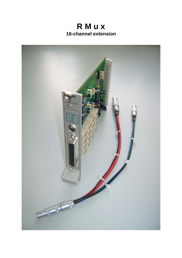

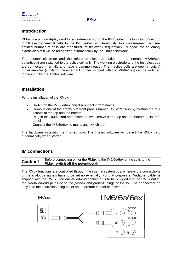

## **Introduction**

RMux is a plug-and-play card for an extension slot of the IM6/6e/6ex. It allows to connect up to 16 electrochemical cells to the IM6/6e/6ex simultaneously. For measurement, a userdefined number of cells are measured (multiplexed) sequentially. Plugged into an empty extension slot it will be recognized automatically by the Thales software.

The counter electrode and the reference electrode outlets of the internal IM6/6e/6ex potentiostat are switched to the active cell only. The working electrode and the test electrode are connected internally and have a common outlet. The inactive cells are open circuit. A buffer amplifier (similar to the external U-buffer shipped with the IM6/6e/6ex) can be switched to the input by the Thales software.

## **Installation**

For the installation of the RMux:

- Switch off the IM6/6e/6ex and disconnect it from mains
- Remove one of the empty slot front panels named *IM6 extension* by twisting the four screws at the top and the bottom
- Plug in the RMux card and fasten the two screws at the top and the bottom of its front panel
- Connect the IM6/6e/6ex to mains and switch it on

The hardware installation is finished now. The Thales software will detect the RMux card automatically when started.

### **IM connections**

**Caution!** Before connecting either the RMux to the IM6/6e/6ex or the cells to the RMux, **switch off the potentiostat**!

The RMux functions are controlled through the internal system bus, whereas the connections of the analogue signals have to be set up externally. For that purpose a Y-adapter cable is shipped with the RMux. The one-tailed-end connector is to be plugged into the RMux outlet, the two-tailed-end plugs go to the *probe-I* and *probe-E* plugs of the IM. The connectors do only fit to their corresponding outlet and therefore cannot be mixed up.

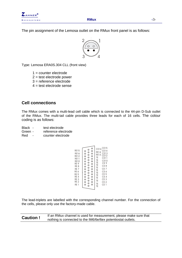

The pin assignment of the Lemosa outlet on the RMux front panel is as follows:



Type: Lemosa ERA0S.304 CLL (front view)

 $1 =$  counter electrode

2 = test electrode power

3 = reference electrode

4 = test electrode sense

## **Cell connections**

The RMux comes with a multi-lead cell cable which is connected to the 44-pin D-Sub outlet of the RMux. The multi-tail cable provides three leads for each of 16 cells. The colour coding is as follows:

Black - test electrode

Green - reference electrode

Red - counter electrode

| <b>RE15</b><br><b>RE16</b><br><b>RE12</b><br><b>RE11</b><br><b>RE10</b><br>RE <sub>9</sub><br>RE <sub>8</sub><br>RE <sub>7</sub><br>RE 6<br>RE <sub>5</sub><br>RE <sub>4</sub><br>RE <sub>3</sub><br>RE <sub>2</sub><br>RE <sub>1</sub> | Ó<br>O<br>o<br>$\circ$<br>$\circ$<br>$\circ$<br>O<br>Ō<br>$\circ$<br>o<br>Ó<br>$\circ$<br>O<br>O<br>$\frac{0}{0}$<br>O<br>$\circ$<br>o<br>Ō<br>$\circ$<br>Ō<br>O<br>$\circ$<br>O<br>¢<br>$\frac{0}{0}$<br>O<br>O<br>O<br>$\circ$<br>$\frac{0}{0}$<br>O<br>$\frac{0}{0}$<br>O<br>$\frac{1}{\alpha}$<br>O<br>$\circ$<br>Ó<br>o | CE15<br>CE16<br>CE14<br><b>RE14</b><br><b>CE13</b><br><b>RE13</b><br><b>CE12</b><br>TE<br>CE11<br>TE<br><b>CE10</b><br>TE<br>CE <sub>9</sub><br>TE<br>CE <sub>8</sub><br>TE<br>CE <sub>7</sub><br>TE<br>CE <sub>6</sub><br>TE<br>CE <sub>5</sub><br>TE<br>CE <sub>4</sub><br>TE<br>CE <sub>3</sub><br>TE<br>CE <sub>2</sub><br>TE<br>CE <sub>1</sub><br>TE |
|-----------------------------------------------------------------------------------------------------------------------------------------------------------------------------------------------------------------------------------------|------------------------------------------------------------------------------------------------------------------------------------------------------------------------------------------------------------------------------------------------------------------------------------------------------------------------------|------------------------------------------------------------------------------------------------------------------------------------------------------------------------------------------------------------------------------------------------------------------------------------------------------------------------------------------------------------|

The lead-triplets are labelled with the corresponding channel number. For the connection of the cells, please only use the factory-made cable.

**Caution !** If an RMux channel is used for measurement, please make sure that nothing is connected to the IM6/6e/6ex potentiostat outlets.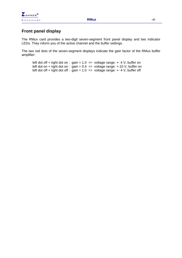

# **Front panel display**

The RMux card provides a two-digit seven-segment front panel display and two indicator LEDs. They inform you of the active channel and the buffer settings.

The two red dots of the seven-segment displays indicate the gain factor of the RMux buffer amplifier:

left dot off + right dot on : gain =  $1.0$  => voltage range: +-4 V, buffer on left dot on + right dot on : gain =  $0.4$  = > voltage range: +-10 V, buffer on left dot off + right dot off : gain =  $1.0$  => voltage range: +-4 V, buffer off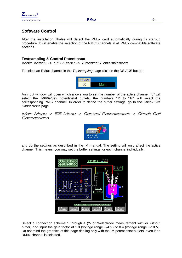

## **Software Control**

After the installation Thales will detect the RMux card automatically during its start-up procedure. It will enable the selection of the RMux channels in all RMux compatible software sections.

#### **Testsampling & Control Potentiostat**

Main Menu -> EIS Menu -> Control Potentiostat

To select an RMux channel in the *Testsampling* page click on the *DEVICE* button:



An input window will open which allows you to set the number of the active channel. "0" will select the IM6/6e/6ex potentiostat outlets, the numbers "1" to "16" will select the corresponding RMux channel. In order to define the buffer settings, go to the *Check Cell Connections* page

Main Menu -> ElS Menu -> Control Potentiostat -> Check Cell Connections



and do the settings as described in the IM manual. The setting will only affect the active channel. This means, you may set the buffer settings for each channel individually.



Select a connection scheme 1 through 4 (2- or 3-electrode measurement with or without buffer) and input the gain factor of 1.0 (voltage range +-4 V) or 0.4 (voltage range +-10 V). Do not mind the graphics of this page dealing only with the IM potentiostat outlets, even if an RMux channel is selected.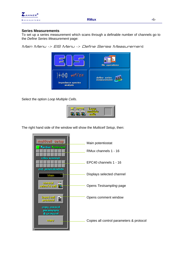

#### **Series Measurements**

To set up a series measurement which scans through a definable number of channels go to the *Define Series Measurement* page:

Main Menu -> EIS Menu -> Define Series Measurement



Select the option *Loop Multiple Cells*.



The right hand side of the window will show the *Multicell Setup*, then: